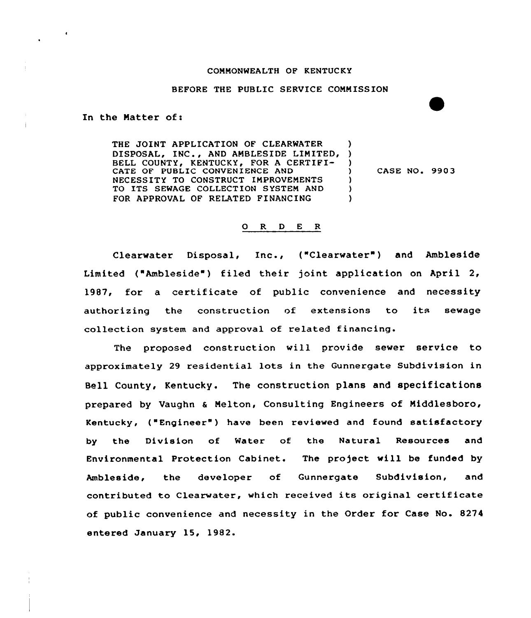## COMMONWEALTH OF KENTUCKY

## BEFORE THE PUBLIC SERVICE COMMISSION

In the Matter of:

THE JOINT APPLICATION OF CLEARWATER DISPOSAL, INC., AND AMBLESIDE LIMITED, ) BELL COUNTY, KENTUCKY, FOR A CERTIFI-CATE OF PUBLIC CONVENIENCE AND NECESSITY TO CONSTRUCT IMPROVEMENTS TO ITS SEWAGE COLLECTION SYSTEM AND (1) FOR APPROVAL OF RELATED FINANCING

CASE NO. 990 3

## 0 R <sup>D</sup> E R

Clearwater Disposal, Inc., ("Clearwater") and Ambleside Limited ("Ambleside") filed their joint application on April 2, 1987, for a certificate of public convenience and necessity authorizing the construction of extensions to its sewage collection system and approval of related

The proposed construction will provide sewer service to approximately 29 residential lots in the Gunnergate Subdivision in Bell County, Kentucky. The construction plans and specifications prepared by Vaughn a Nelton, Consulting Engineers of Middlesboro, Kentucky, ("Engineer" ) have been reviewed and found satisfactory by the Division of Water of the Natural Resources and Environmental Protection Cabinet. The project will be funded by Ambleside, the developer of Gunnergate Subdivision, and contributed to Clearwater, which received its original certificate of public convenience and necessity in the Order for Case No. 8274 entered January 15, 1982.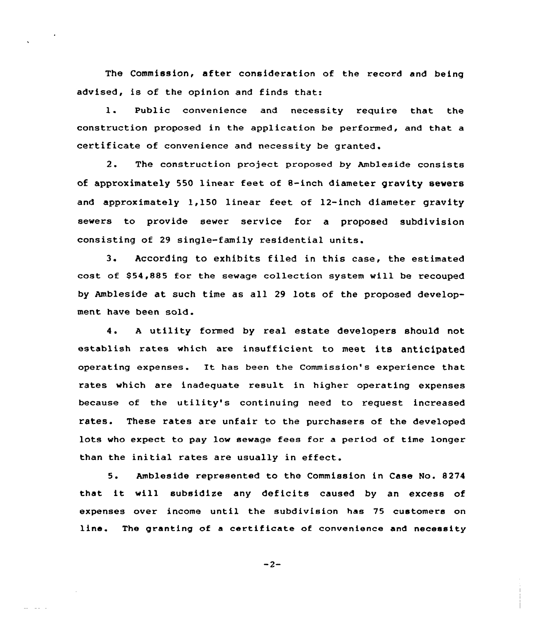The Commission, after consideration of the record and being advised, is of the opinion and finds that:

1. Public convenience and necessity require that the construction proposed in the application be performed, and that a certificate of convenience and necessity be granted.

2. The construction project proposed by Ambleside consists of approximately 550 linear feet of 8-inch diameter gravity sewers and approximately 1,150 linear feet of 12-inch diameter gravity sewers to provide sewer service for a proposed subdivision consisting of 29 single-family residential units.

3. According to exhibits filed in this case, the estimated cost of 854,885 for the sewage collection system will be recouped by Ambleside at such time as all 29 lots of the proposed development have been sold.

4. A utility formed by real estate developers should not establish rates which are insufficient to meet its anticipated operating expenses. It has been the Commission's experience that rates which are inadequate result in higher operating expenses because of the utility's continuing need to request increased rates. These rates are unfair to the purchasers of the developed lots who expect to pay low sewage fees for a period of time longer than the initial rates are usually in effect.

5. Ambleside represented to the Commission in Case No. 8274 that it will subsidize any deficits caused by an excess of expenses over income until the subdivision has 75 customers on line. The granting of a certificate of convenience and necessity

$$
-2-
$$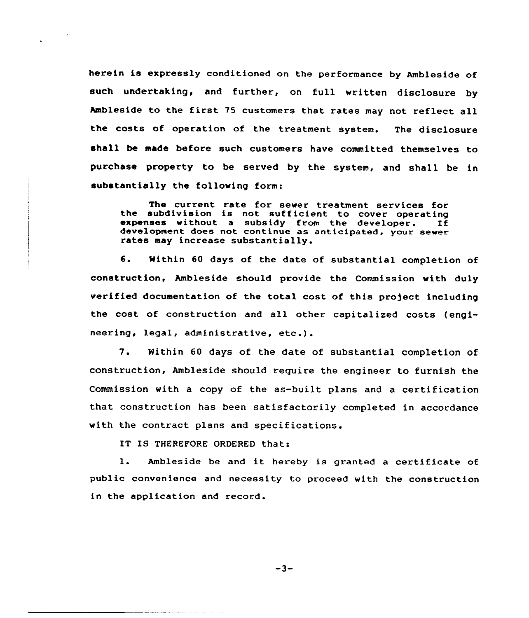herein is expressly conditioned on the performance by Ambleside of such undertaking, and further, on full written disclosure by Ambleside to the first 75 customers that rates may not reflect all the costs of operation of the treatment system. The disclosure shall be made before such customers have committed themselves to purchase property to be served by the system, and shall be in substantially the following form:

The current rate for sewer treatment services for the subdivision is not sufficient to cover operating expenses without a subsidy from the developer. If development does not continue as anticipated, your sewer rates may increase substantially.

6. Within <sup>60</sup> days of the date of substantial completion of construction, Ambleside should provide the Commission «ith duly verified documentation of the total cost of this profect including the cost of construction and all other capitalized costs (engineering, legal, administrative, etc.).

7. Within <sup>60</sup> days of the date of substantial completion of construction, Ambleside should require the engineer to furnish the Commission with a copy of the as-built plans and a certification that construction has been satisfactorily completed in accordance with the contract plans and specifications.

IT IS THEREFORE ORDERED that:

l. Ambleside be and it hereby is granted <sup>a</sup> certificate of public convenience and necessity to proceed with the construction in the application and record.

 $-3-$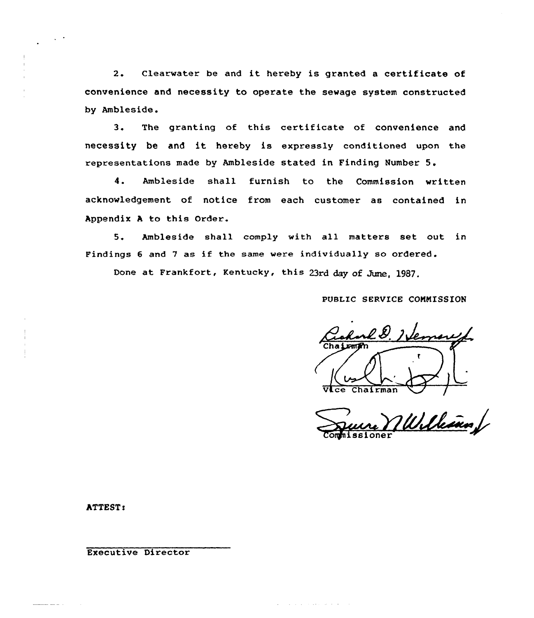2. Clearwater be and it hereby is granted a certificate of convenience and necessity to operate the sewage system constructed by Ambleside.

3. The granting of this certificate of convenience and necessity be and it hereby is expressly conditioned upon the representations made by Ambleside stated in Finding Number 5.

4. Ambleside shall furnish to the Commission written acknowledgement of notice from each customer as contained in Appendix <sup>A</sup> to this Grder.

5. Ambleside shall comply with all matters set out in Findings <sup>6</sup> and <sup>7</sup> as if the same were individually so ordered.

المناطر المتحديث المناطرات

Done at Frankfort, Kentucky, this 23rd day of June, 1987.

PUBLIC SERVICE COMMISSION

<u>l D. I Vernar</u> Vlce Chairman /

William

ATTEST:

Executive Director